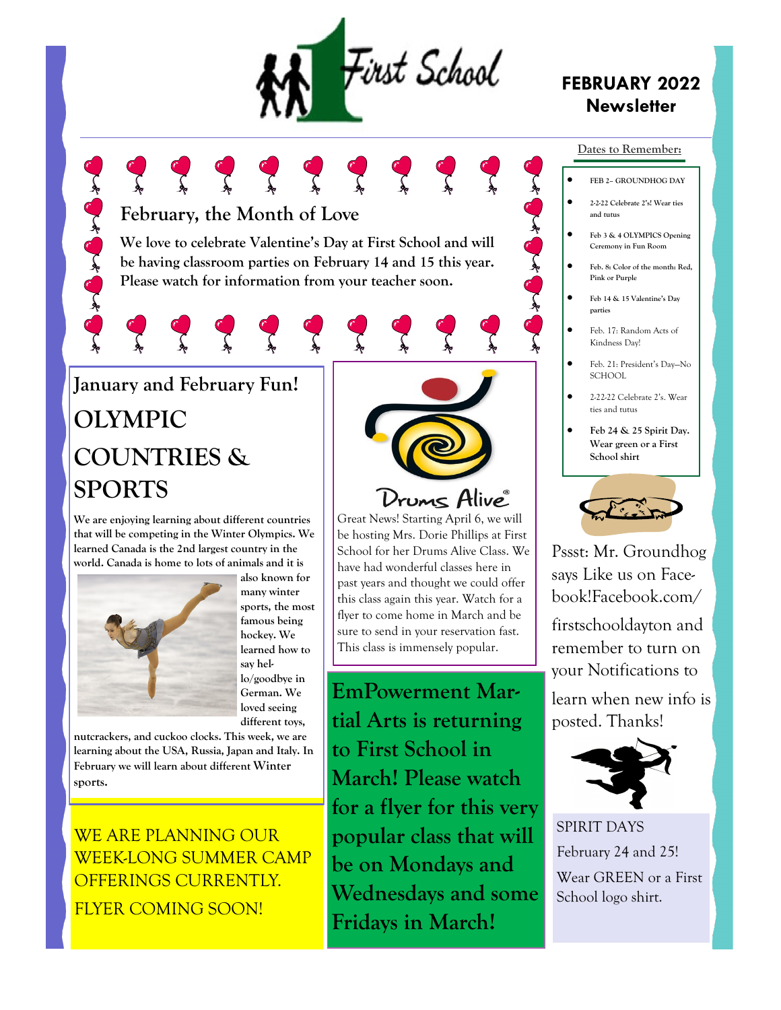

### **FEBRUARY 2022 Newsletter**

### **February, the Month of Love**

Control of Control

**We love to celebrate Valentine's Day at First School and will be having classroom parties on February 14 and 15 this year. Please watch for information from your teacher soon.** 

# **January and February Fun! OLYMPIC COUNTRIES & SPORTS**

**We are enjoying learning about different countries that will be competing in the Winter Olympics. We learned Canada is the 2nd largest country in the world. Canada is home to lots of animals and it is** 



**also known for many winter sports, the most famous being hockey. We learned how to say hello/goodbye in German. We loved seeing different toys,** 

**nutcrackers, and cuckoo clocks. This week, we are learning about the USA, Russia, Japan and Italy. In February we will learn about different Winter sports.**

WE ARE PLANNING OUR WEEK-LONG SUMMER CAMP OFFERINGS CURRENTLY. FLYER COMING SOON!



## Drums Alive<sup>®</sup>

Great News! Starting April 6, we will be hosting Mrs. Dorie Phillips at First School for her Drums Alive Class. We have had wonderful classes here in past years and thought we could offer this class again this year. Watch for a flyer to come home in March and be sure to send in your reservation fast. This class is immensely popular.

**EmPowerment Martial Arts is returning to First School in March! Please watch for a flyer for this very popular class that will be on Mondays and Wednesdays and some Fridays in March!**

#### **Dates to Remember:**

- **FEB 2– GROUNDHOG DAY**
- **2-2-22 Celebrate 2's! Wear ties and tutus**
- **Feb 3 & 4 OLYMPICS Opening Ceremony in Fun Room**
- **Feb. 8: Color of the month: Red, Pink or Purple**
- **Feb 14 & 15 Valentine's Day parties**

 $\sum_{k=1}^{n}$ 

- Feb. 17: Random Acts of Kindness Day!
- Feb. 21: President's Day—No SCHOOL
- 2-22-22 Celebrate 2's. Wear ties and tutus
- **Feb 24 & 25 Spirit Day. Wear green or a First School shirt**



Pssst: Mr. Groundhog says Like us on Facebook!Facebook.com/ firstschooldayton and remember to turn on your Notifications to

learn when new info is posted. Thanks!



SPIRIT DAYS February 24 and 25! Wear GREEN or a First School logo shirt.